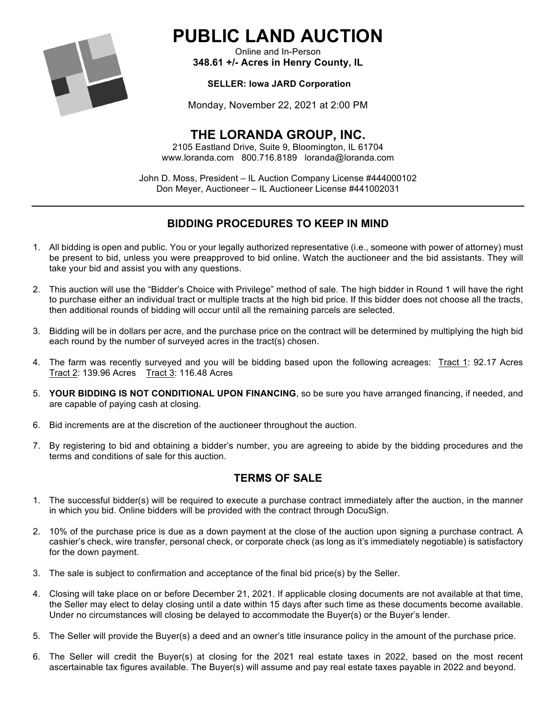

# **PUBLIC LAND AUCTION**

Online and In-Person **348.61 +/- Acres in Henry County, IL**

#### **SELLER: Iowa JARD Corporation**

Monday, November 22, 2021 at 2:00 PM

## **THE LORANDA GROUP, INC.**

2105 Eastland Drive, Suite 9, Bloomington, IL 61704 www.loranda.com 800.716.8189 loranda@loranda.com

John D. Moss, President – IL Auction Company License #444000102 Don Meyer, Auctioneer – IL Auctioneer License #441002031

### **BIDDING PROCEDURES TO KEEP IN MIND**

- 1. All bidding is open and public. You or your legally authorized representative (i.e., someone with power of attorney) must be present to bid, unless you were preapproved to bid online. Watch the auctioneer and the bid assistants. They will take your bid and assist you with any questions.
- 2. This auction will use the "Bidder's Choice with Privilege" method of sale. The high bidder in Round 1 will have the right to purchase either an individual tract or multiple tracts at the high bid price. If this bidder does not choose all the tracts, then additional rounds of bidding will occur until all the remaining parcels are selected.
- 3. Bidding will be in dollars per acre, and the purchase price on the contract will be determined by multiplying the high bid each round by the number of surveyed acres in the tract(s) chosen.
- 4. The farm was recently surveyed and you will be bidding based upon the following acreages: Tract 1: 92.17 Acres Tract 2: 139.96 Acres Tract 3: 116.48 Acres
- 5. **YOUR BIDDING IS NOT CONDITIONAL UPON FINANCING**, so be sure you have arranged financing, if needed, and are capable of paying cash at closing.
- 6. Bid increments are at the discretion of the auctioneer throughout the auction.
- 7. By registering to bid and obtaining a bidder's number, you are agreeing to abide by the bidding procedures and the terms and conditions of sale for this auction.

#### **TERMS OF SALE**

- 1. The successful bidder(s) will be required to execute a purchase contract immediately after the auction, in the manner in which you bid. Online bidders will be provided with the contract through DocuSign.
- 2. 10% of the purchase price is due as a down payment at the close of the auction upon signing a purchase contract. A cashier's check, wire transfer, personal check, or corporate check (as long as it's immediately negotiable) is satisfactory for the down payment.
- 3. The sale is subject to confirmation and acceptance of the final bid price(s) by the Seller.
- 4. Closing will take place on or before December 21, 2021. If applicable closing documents are not available at that time, the Seller may elect to delay closing until a date within 15 days after such time as these documents become available. Under no circumstances will closing be delayed to accommodate the Buyer(s) or the Buyer's lender.
- 5. The Seller will provide the Buyer(s) a deed and an owner's title insurance policy in the amount of the purchase price.
- 6. The Seller will credit the Buyer(s) at closing for the 2021 real estate taxes in 2022, based on the most recent ascertainable tax figures available. The Buyer(s) will assume and pay real estate taxes payable in 2022 and beyond.